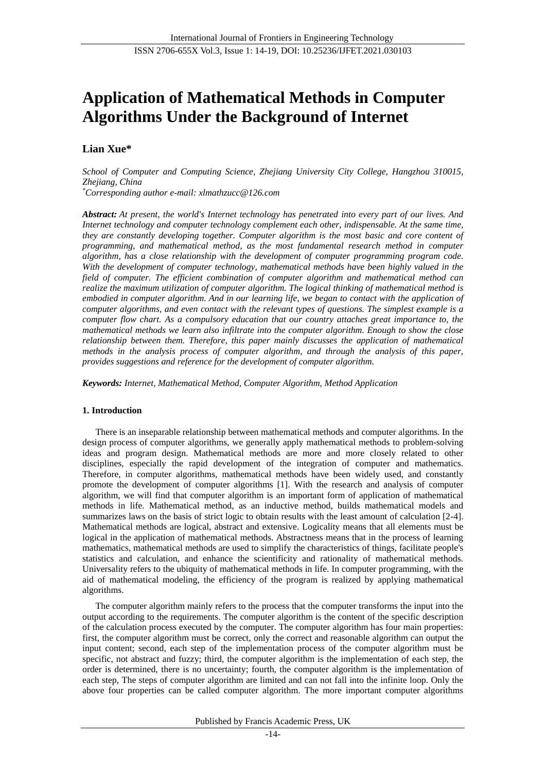# **Application of Mathematical Methods in Computer Algorithms Under the Background of Internet**

## **Lian Xue\***

*School of Computer and Computing Science, Zhejiang University City College, Hangzhou 310015, Zhejiang, China*

*\*Corresponding author e-mail: xlmathzucc@126.com*

*Abstract: At present, the world's Internet technology has penetrated into every part of our lives. And Internet technology and computer technology complement each other, indispensable. At the same time, they are constantly developing together. Computer algorithm is the most basic and core content of programming, and mathematical method, as the most fundamental research method in computer algorithm, has a close relationship with the development of computer programming program code. With the development of computer technology, mathematical methods have been highly valued in the field of computer. The efficient combination of computer algorithm and mathematical method can realize the maximum utilization of computer algorithm. The logical thinking of mathematical method is embodied in computer algorithm. And in our learning life, we began to contact with the application of computer algorithms, and even contact with the relevant types of questions. The simplest example is a computer flow chart. As a compulsory education that our country attaches great importance to, the mathematical methods we learn also infiltrate into the computer algorithm. Enough to show the close relationship between them. Therefore, this paper mainly discusses the application of mathematical methods in the analysis process of computer algorithm, and through the analysis of this paper, provides suggestions and reference for the development of computer algorithm.*

*Keywords: Internet, Mathematical Method, Computer Algorithm, Method Application*

## **1. Introduction**

There is an inseparable relationship between mathematical methods and computer algorithms. In the design process of computer algorithms, we generally apply mathematical methods to problem-solving ideas and program design. Mathematical methods are more and more closely related to other disciplines, especially the rapid development of the integration of computer and mathematics. Therefore, in computer algorithms, mathematical methods have been widely used, and constantly promote the development of computer algorithms [1]. With the research and analysis of computer algorithm, we will find that computer algorithm is an important form of application of mathematical methods in life. Mathematical method, as an inductive method, builds mathematical models and summarizes laws on the basis of strict logic to obtain results with the least amount of calculation [2-4]. Mathematical methods are logical, abstract and extensive. Logicality means that all elements must be logical in the application of mathematical methods. Abstractness means that in the process of learning mathematics, mathematical methods are used to simplify the characteristics of things, facilitate people's statistics and calculation, and enhance the scientificity and rationality of mathematical methods. Universality refers to the ubiquity of mathematical methods in life. In computer programming, with the aid of mathematical modeling, the efficiency of the program is realized by applying mathematical algorithms.

The computer algorithm mainly refers to the process that the computer transforms the input into the output according to the requirements. The computer algorithm is the content of the specific description of the calculation process executed by the computer. The computer algorithm has four main properties: first, the computer algorithm must be correct, only the correct and reasonable algorithm can output the input content; second, each step of the implementation process of the computer algorithm must be specific, not abstract and fuzzy; third, the computer algorithm is the implementation of each step, the order is determined, there is no uncertainty; fourth, the computer algorithm is the implementation of each step, The steps of computer algorithm are limited and can not fall into the infinite loop. Only the above four properties can be called computer algorithm. The more important computer algorithms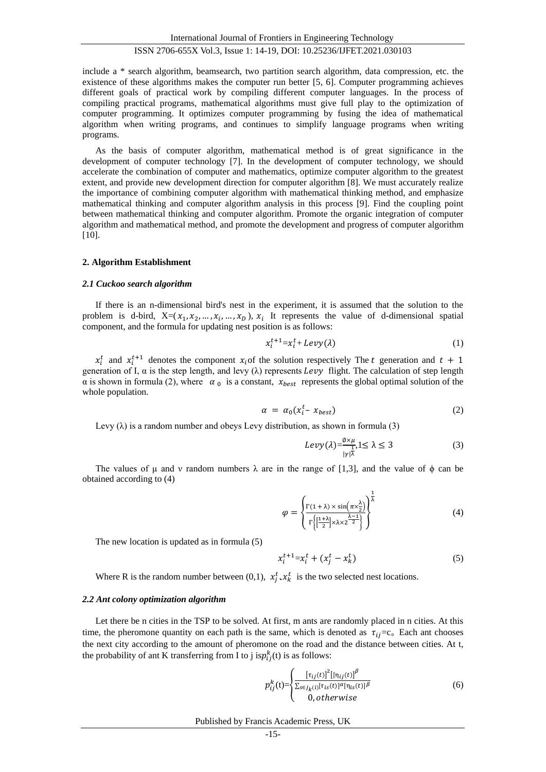International Journal of Frontiers in Engineering Technology

### ISSN 2706-655X Vol.3, Issue 1: 14-19, DOI: 10.25236/IJFET.2021.030103

include a \* search algorithm, beamsearch, two partition search algorithm, data compression, etc. the existence of these algorithms makes the computer run better [5, 6]. Computer programming achieves different goals of practical work by compiling different computer languages. In the process of compiling practical programs, mathematical algorithms must give full play to the optimization of computer programming. It optimizes computer programming by fusing the idea of mathematical algorithm when writing programs, and continues to simplify language programs when writing programs.

As the basis of computer algorithm, mathematical method is of great significance in the development of computer technology [7]. In the development of computer technology, we should accelerate the combination of computer and mathematics, optimize computer algorithm to the greatest extent, and provide new development direction for computer algorithm [8]. We must accurately realize the importance of combining computer algorithm with mathematical thinking method, and emphasize mathematical thinking and computer algorithm analysis in this process [9]. Find the coupling point between mathematical thinking and computer algorithm. Promote the organic integration of computer algorithm and mathematical method, and promote the development and progress of computer algorithm [10].

#### **2. Algorithm Establishment**

#### *2.1 Cuckoo search algorithm*

If there is an n-dimensional bird's nest in the experiment, it is assumed that the solution to the problem is d-bird,  $X=(x_1, x_2, ..., x_i, ..., x_D)$ ,  $x_i$  It represents the value of d-dimensional spatial component, and the formula for updating nest position is as follows:

$$
x_i^{t+1} = x_i^t + Levy(\lambda) \tag{1}
$$

 $x_i^t$  and  $x_i^{t+1}$  denotes the component  $x_i$  of the solution respectively The t generation and  $t + 1$ generation of I,  $\alpha$  is the step length, and levy ( $\lambda$ ) represents *Levy* flight. The calculation of step length  $\alpha$  is shown in formula (2), where  $\alpha_0$  is a constant,  $x_{best}$  represents the global optimal solution of the whole population.

$$
\alpha = \alpha_0 (x_i^t - x_{best}) \tag{2}
$$

Levy  $(\lambda)$  is a random number and obeys Levy distribution, as shown in formula (3)

$$
Levy(\lambda) = \frac{\phi \times \mu}{|\gamma| \lambda}, 1 \le \lambda \le 3
$$
 (3)

The values of  $\mu$  and  $\nu$  random numbers  $\lambda$  are in the range of [1,3], and the value of  $\phi$  can be obtained according to (4)

$$
\varphi = \left\{ \frac{\Gamma(1+\lambda) \times \sin(\pi \times \frac{\lambda}{2})}{\Gamma\left\{ \left[\frac{1+\lambda}{2}\right] \times \lambda \times 2^{\frac{\lambda-1}{2}} \right\}} \right\}^{\frac{1}{\lambda}}
$$
(4)

The new location is updated as in formula (5)

$$
x_i^{t+1} = x_i^t + (x_j^t - x_k^t) \tag{5}
$$

Where R is the random number between (0,1),  $x_j^t$ ,  $x_k^t$  is the two selected nest locations.

#### *2.2 Ant colony optimization algorithm*

Let there be n cities in the TSP to be solved. At first, m ants are randomly placed in n cities. At this time, the pheromone quantity on each path is the same, which is denoted as  $\tau_{ij} = c_0$ . Each ant chooses the next city according to the amount of pheromone on the road and the distance between cities. At t, the probability of ant K transferring from I to j is $p_{ij}^k(t)$  is as follows:

$$
p_{ij}^{k}(t) = \begin{cases} \frac{\left[\tau_{ij}(t)\right]^{2}\left[\left[\eta_{ij}(t)\right]^{{\beta}}}{\sum_{s \in j_{k}(t)}\left[\tau_{is}(t)\right]^{{\alpha}}\left[\eta_{is}(t)\right]^{{\beta}}}\right. & (6) \\ 0, otherwise \end{cases}
$$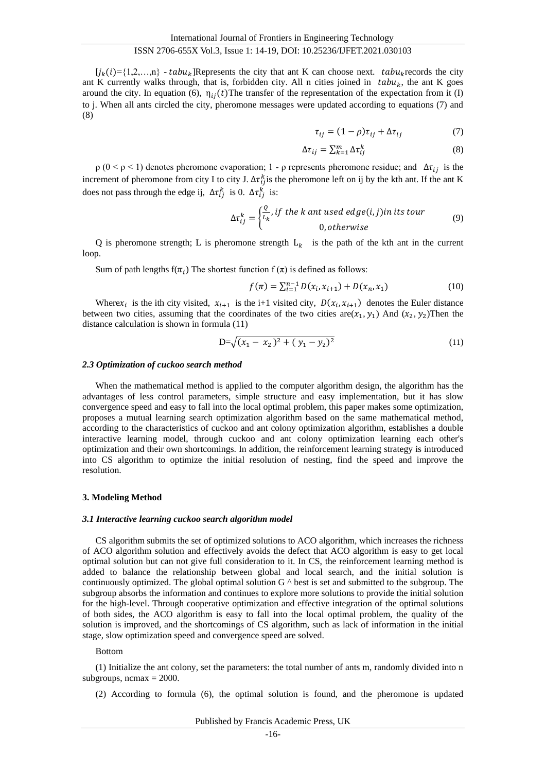## ISSN 2706-655X Vol.3, Issue 1: 14-19, DOI: 10.25236/IJFET.2021.030103

 $[i_k(i)=\{1,2,...,n\}$  -  $tabu_k$ ]Represents the city that ant K can choose next.  $tabu_k$  records the city ant K currently walks through, that is, forbidden city. All n cities joined in  $tabu<sub>k</sub>$ , the ant K goes around the city. In equation (6),  $\eta_{ij}(t)$ The transfer of the representation of the expectation from it (I) to j. When all ants circled the city, pheromone messages were updated according to equations (7) and (8)

$$
\tau_{ij} = (1 - \rho)\tau_{ij} + \Delta \tau_{ij} \tag{7}
$$

$$
\Delta \tau_{ij} = \sum_{k=1}^{m} \Delta \tau_{ij}^{k} \tag{8}
$$

 $ρ$  (0 <  $ρ$  < 1) denotes pheromone evaporation; 1 -  $ρ$  represents pheromone residue; and  $Δτ_{ij}$  is the increment of pheromone from city I to city J.  $\Delta \tau_{ij}^k$  is the pheromone left on ij by the kth ant. If the ant K does not pass through the edge ij,  $\Delta \tau_{ij}^k$  is 0.  $\Delta \tau_{ij}^k$  is:

$$
\Delta \tau_{ij}^k = \begin{cases} \frac{Q}{L_k}, & \text{if the } k \text{ and used edge}(i,j) \text{ in its tour} \\ 0, & \text{otherwise} \end{cases} \tag{9}
$$

Q is pheromone strength; L is pheromone strength  $L_k$  is the path of the kth ant in the current loop.

Sum of path lengths  $f(\pi_i)$  The shortest function  $f(\pi)$  is defined as follows:

$$
f(\pi) = \sum_{i=1}^{n-1} D(x_i, x_{i+1}) + D(x_n, x_1)
$$
 (10)

Where  $x_i$  is the ith city visited,  $x_{i+1}$  is the i+1 visited city,  $D(x_i, x_{i+1})$  denotes the Euler distance between two cities, assuming that the coordinates of the two cities are $(x_1, y_1)$  And  $(x_2, y_2)$ Then the distance calculation is shown in formula (11)

$$
D = \sqrt{(x_1 - x_2)^2 + (y_1 - y_2)^2}
$$
 (11)

#### *2.3 Optimization of cuckoo search method*

When the mathematical method is applied to the computer algorithm design, the algorithm has the advantages of less control parameters, simple structure and easy implementation, but it has slow convergence speed and easy to fall into the local optimal problem, this paper makes some optimization, proposes a mutual learning search optimization algorithm based on the same mathematical method, according to the characteristics of cuckoo and ant colony optimization algorithm, establishes a double interactive learning model, through cuckoo and ant colony optimization learning each other's optimization and their own shortcomings. In addition, the reinforcement learning strategy is introduced into CS algorithm to optimize the initial resolution of nesting, find the speed and improve the resolution.

## **3. Modeling Method**

#### *3.1 Interactive learning cuckoo search algorithm model*

CS algorithm submits the set of optimized solutions to ACO algorithm, which increases the richness of ACO algorithm solution and effectively avoids the defect that ACO algorithm is easy to get local optimal solution but can not give full consideration to it. In CS, the reinforcement learning method is added to balance the relationship between global and local search, and the initial solution is continuously optimized. The global optimal solution  $G<sup>^</sup>$  best is set and submitted to the subgroup. The subgroup absorbs the information and continues to explore more solutions to provide the initial solution for the high-level. Through cooperative optimization and effective integration of the optimal solutions of both sides, the ACO algorithm is easy to fall into the local optimal problem, the quality of the solution is improved, and the shortcomings of CS algorithm, such as lack of information in the initial stage, slow optimization speed and convergence speed are solved.

#### Bottom

(1) Initialize the ant colony, set the parameters: the total number of ants m, randomly divided into n subgroups,  $ncmax = 2000$ .

(2) According to formula (6), the optimal solution is found, and the pheromone is updated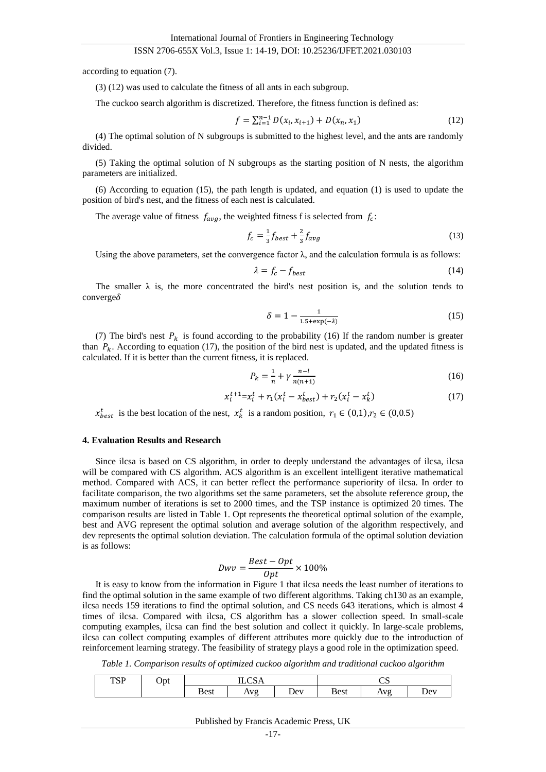#### ISSN 2706-655X Vol.3, Issue 1: 14-19, DOI: 10.25236/IJFET.2021.030103

according to equation (7).

(3) (12) was used to calculate the fitness of all ants in each subgroup.

The cuckoo search algorithm is discretized. Therefore, the fitness function is defined as:

$$
f = \sum_{i=1}^{n-1} D(x_i, x_{i+1}) + D(x_n, x_1)
$$
 (12)

(4) The optimal solution of N subgroups is submitted to the highest level, and the ants are randomly divided.

(5) Taking the optimal solution of N subgroups as the starting position of N nests, the algorithm parameters are initialized.

(6) According to equation (15), the path length is updated, and equation (1) is used to update the position of bird's nest, and the fitness of each nest is calculated.

The average value of fitness  $f_{avg}$ , the weighted fitness f is selected from  $f_c$ :

$$
f_c = \frac{1}{3}f_{best} + \frac{2}{3}f_{avg}
$$
\n
$$
\tag{13}
$$

Using the above parameters, set the convergence factor  $\lambda$ , and the calculation formula is as follows:

$$
\lambda = f_c - f_{best} \tag{14}
$$

The smaller  $\lambda$  is, the more concentrated the bird's nest position is, and the solution tends to  $converge\delta$ 

$$
\delta = 1 - \frac{1}{1.5 + \exp(-\lambda)}\tag{15}
$$

(7) The bird's nest  $P_k$  is found according to the probability (16) If the random number is greater than  $P_k$ . According to equation (17), the position of the bird nest is updated, and the updated fitness is calculated. If it is better than the current fitness, it is replaced.

$$
P_k = \frac{1}{n} + \gamma \frac{n - l}{n(n+1)}
$$
\n(16)

$$
x_i^{t+1} = x_i^t + r_1(x_i^t - x_{best}^t) + r_2(x_i^t - x_k^t)
$$
\n(17)

 $x_{best}^t$  is the best location of the nest,  $x_k^t$  is a random position,  $r_1 \in (0,1), r_2 \in (0,0.5)$ 

#### **4. Evaluation Results and Research**

Since ilcsa is based on CS algorithm, in order to deeply understand the advantages of ilcsa, ilcsa will be compared with CS algorithm. ACS algorithm is an excellent intelligent iterative mathematical method. Compared with ACS, it can better reflect the performance superiority of ilcsa. In order to facilitate comparison, the two algorithms set the same parameters, set the absolute reference group, the maximum number of iterations is set to 2000 times, and the TSP instance is optimized 20 times. The comparison results are listed in Table 1. Opt represents the theoretical optimal solution of the example, best and AVG represent the optimal solution and average solution of the algorithm respectively, and dev represents the optimal solution deviation. The calculation formula of the optimal solution deviation is as follows:

$$
Dwv = \frac{Best - Opt}{Opt} \times 100\%
$$

It is easy to know from the information in Figure 1 that ilcsa needs the least number of iterations to find the optimal solution in the same example of two different algorithms. Taking ch130 as an example, ilcsa needs 159 iterations to find the optimal solution, and CS needs 643 iterations, which is almost 4 times of ilcsa. Compared with ilcsa, CS algorithm has a slower collection speed. In small-scale computing examples, ilcsa can find the best solution and collect it quickly. In large-scale problems, ilcsa can collect computing examples of different attributes more quickly due to the introduction of reinforcement learning strategy. The feasibility of strategy plays a good role in the optimization speed.

*Table 1. Comparison results of optimized cuckoo algorithm and traditional cuckoo algorithm*

| TCD | Opt | $\sim$ |                               |     | ັ           |                                          |     |
|-----|-----|--------|-------------------------------|-----|-------------|------------------------------------------|-----|
| TOT | л.  | --     |                               |     |             |                                          |     |
|     |     | Best   | Aνσ<br>$\Gamma$ $\chi$ $\chi$ | Dev | <b>Best</b> | $\Delta$ v $\sigma$<br><b><i>IIV</i></b> | Dev |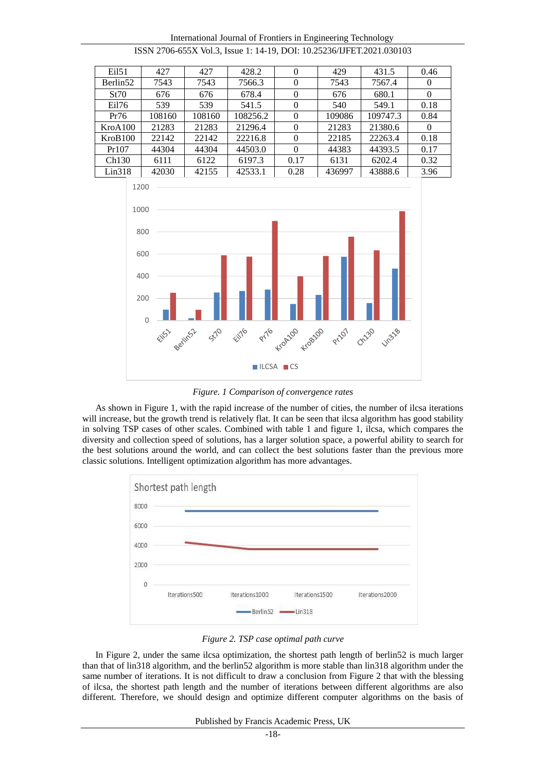| Ei151    | 427    | 427    | 428.2    | $\theta$       | 429    | 431.5    | 0.46     |
|----------|--------|--------|----------|----------------|--------|----------|----------|
| Berlin52 | 7543   | 7543   | 7566.3   | $\overline{0}$ | 7543   | 7567.4   | $\theta$ |
| St70     | 676    | 676    | 678.4    | $\theta$       | 676    | 680.1    | $\theta$ |
| Ei176    | 539    | 539    | 541.5    | $\theta$       | 540    | 549.1    | 0.18     |
| Pr76     | 108160 | 108160 | 108256.2 | $\theta$       | 109086 | 109747.3 | 0.84     |
| KroA100  | 21283  | 21283  | 21296.4  | $\Omega$       | 21283  | 21380.6  | $\Omega$ |
| KroB100  | 22142  | 22142  | 22216.8  | $\theta$       | 22185  | 22263.4  | 0.18     |
| Pr107    | 44304  | 44304  | 44503.0  | $\Omega$       | 44383  | 44393.5  | 0.17     |
| Ch130    | 6111   | 6122   | 6197.3   | 0.17           | 6131   | 6202.4   | 0.32     |
| Lin318   | 42030  | 42155  | 42533.1  | 0.28           | 436997 | 43888.6  | 3.96     |

International Journal of Frontiers in Engineering Technology ISSN 2706-655X Vol.3, Issue 1: 14-19, DOI: 10.25236/IJFET.2021.030103



*Figure. 1 Comparison of convergence rates*

As shown in Figure 1, with the rapid increase of the number of cities, the number of ilcsa iterations will increase, but the growth trend is relatively flat. It can be seen that ilcsa algorithm has good stability in solving TSP cases of other scales. Combined with table 1 and figure 1, ilcsa, which compares the diversity and collection speed of solutions, has a larger solution space, a powerful ability to search for the best solutions around the world, and can collect the best solutions faster than the previous more classic solutions. Intelligent optimization algorithm has more advantages.



*Figure 2. TSP case optimal path curve*

In Figure 2, under the same ilcsa optimization, the shortest path length of berlin52 is much larger than that of lin318 algorithm, and the berlin52 algorithm is more stable than lin318 algorithm under the same number of iterations. It is not difficult to draw a conclusion from Figure 2 that with the blessing of ilcsa, the shortest path length and the number of iterations between different algorithms are also different. Therefore, we should design and optimize different computer algorithms on the basis of